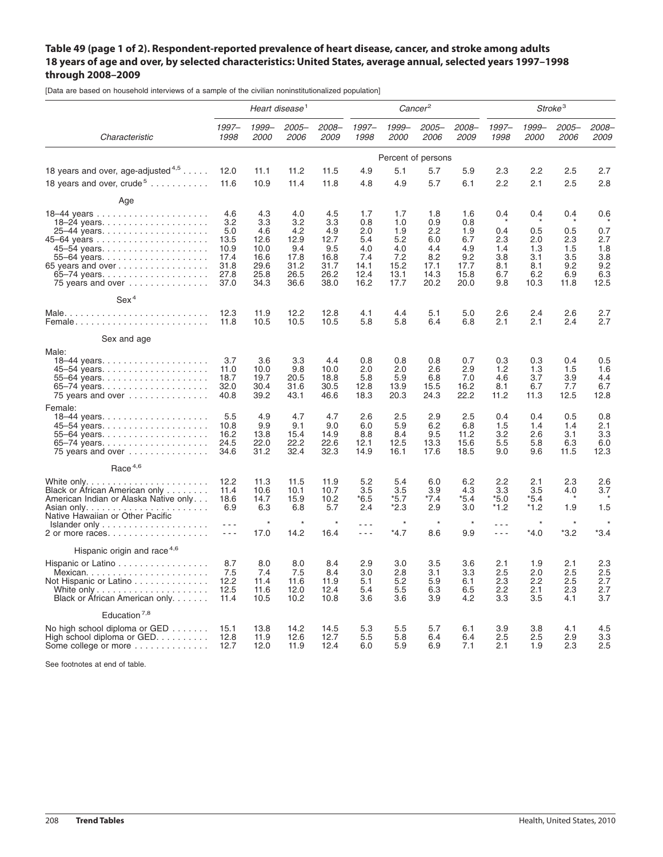## **Table 49 (page 1 of 2). Respondent-reported prevalence of heart disease, cancer, and stroke among adults 18 years of age and over, by selected characteristics: United States, average annual, selected years 1997–1998 through 2008–2009**

[Data are based on household interviews of a sample of the civilian noninstitutionalized population]

|                                                                                                                                           | Heart disease <sup>1</sup>                                        |                                                                   |                                                                  |                                                                  |                                                                |                                                                | Cancer <sup>2</sup>                                            |                                                                | Stroke <sup>3</sup>                                  |                                                       |                                                       |                                                       |  |
|-------------------------------------------------------------------------------------------------------------------------------------------|-------------------------------------------------------------------|-------------------------------------------------------------------|------------------------------------------------------------------|------------------------------------------------------------------|----------------------------------------------------------------|----------------------------------------------------------------|----------------------------------------------------------------|----------------------------------------------------------------|------------------------------------------------------|-------------------------------------------------------|-------------------------------------------------------|-------------------------------------------------------|--|
| Characteristic                                                                                                                            | $1997 -$<br>1998                                                  | 1999-<br>2000                                                     | $2005 -$<br>2006                                                 | 2008-<br><i>2009</i>                                             | $1997 -$<br>1998                                               | 1999-<br>2000                                                  | $2005 -$<br><i>2006</i>                                        | 2008-<br>2009                                                  | $1997 -$<br>1998                                     | 1999-<br><i>2000</i>                                  | $2005 -$<br>2006                                      | 2008-<br>2009                                         |  |
|                                                                                                                                           | Percent of persons                                                |                                                                   |                                                                  |                                                                  |                                                                |                                                                |                                                                |                                                                |                                                      |                                                       |                                                       |                                                       |  |
| 18 years and over, age-adjusted $4.5 \ldots$ .                                                                                            | 12.0                                                              | 11.1                                                              | 11.2                                                             | 11.5                                                             | 4.9                                                            | 5.1                                                            | 5.7                                                            | 5.9                                                            | 2.3                                                  | 2.2                                                   | 2.5                                                   | 2.7                                                   |  |
| 18 years and over, crude <sup>5</sup>                                                                                                     | 11.6                                                              | 10.9                                                              | 11.4                                                             | 11.8                                                             | 4.8                                                            | 4.9                                                            | 5.7                                                            | 6.1                                                            | 2.2                                                  | 2.1                                                   | 2.5                                                   | 2.8                                                   |  |
| Age                                                                                                                                       |                                                                   |                                                                   |                                                                  |                                                                  |                                                                |                                                                |                                                                |                                                                |                                                      |                                                       |                                                       |                                                       |  |
| 18-24 years<br>65 years and over<br>75 years and over $\ldots \ldots \ldots \ldots$                                                       | 4.6<br>3.2<br>5.0<br>13.5<br>10.9<br>17.4<br>31.8<br>27.8<br>37.0 | 4.3<br>3.3<br>4.6<br>12.6<br>10.0<br>16.6<br>29.6<br>25.8<br>34.3 | 4.0<br>3.2<br>4.2<br>12.9<br>9.4<br>17.8<br>31.2<br>26.5<br>36.6 | 4.5<br>3.3<br>4.9<br>12.7<br>9.5<br>16.8<br>31.7<br>26.2<br>38.0 | 1.7<br>0.8<br>2.0<br>5.4<br>4.0<br>7.4<br>14.1<br>12.4<br>16.2 | 1.7<br>1.0<br>1.9<br>5.2<br>4.0<br>7.2<br>15.2<br>13.1<br>17.7 | 1.8<br>0.9<br>2.2<br>6.0<br>4.4<br>8.2<br>17.1<br>14.3<br>20.2 | 1.6<br>0.8<br>1.9<br>6.7<br>4.9<br>9.2<br>17.7<br>15.8<br>20.0 | 0.4<br>0.4<br>2.3<br>1.4<br>3.8<br>8.1<br>6.7<br>9.8 | 0.4<br>0.5<br>2.0<br>1.3<br>3.1<br>8.1<br>6.2<br>10.3 | 0.4<br>0.5<br>2.3<br>1.5<br>3.5<br>9.2<br>6.9<br>11.8 | 0.6<br>0.7<br>2.7<br>1.8<br>3.8<br>9.2<br>6.3<br>12.5 |  |
| Sex <sup>4</sup>                                                                                                                          |                                                                   |                                                                   |                                                                  |                                                                  |                                                                |                                                                |                                                                |                                                                |                                                      |                                                       |                                                       |                                                       |  |
| Female                                                                                                                                    | 12.3<br>11.8                                                      | 11.9<br>10.5                                                      | 12.2<br>10.5                                                     | 12.8<br>10.5                                                     | 4.1<br>5.8                                                     | 4.4<br>5.8                                                     | 5.1<br>6.4                                                     | 5.0<br>6.8                                                     | 2.6<br>2.1                                           | 2.4<br>2.1                                            | 2.6<br>2.4                                            | 2.7<br>2.7                                            |  |
| Sex and age                                                                                                                               |                                                                   |                                                                   |                                                                  |                                                                  |                                                                |                                                                |                                                                |                                                                |                                                      |                                                       |                                                       |                                                       |  |
| Male:<br>55–64 years<br>75 years and over                                                                                                 | 3.7<br>11.0<br>18.7<br>32.0<br>40.8                               | 3.6<br>10.0<br>19.7<br>30.4<br>39.2                               | 3.3<br>9.8<br>20.5<br>31.6<br>43.1                               | 4.4<br>10.0<br>18.8<br>30.5<br>46.6                              | 0.8<br>2.0<br>5.8<br>12.8<br>18.3                              | 0.8<br>2.0<br>5.9<br>13.9<br>20.3                              | 0.8<br>2.6<br>6.8<br>15.5<br>24.3                              | 0.7<br>2.9<br>7.0<br>16.2<br>22.2                              | 0.3<br>1.2<br>4.6<br>8.1<br>11.2                     | 0.3<br>1.3<br>3.7<br>6.7<br>11.3                      | 0.4<br>1.5<br>3.9<br>7.7<br>12.5                      | 0.5<br>1.6<br>4.4<br>6.7<br>12.8                      |  |
| Female:<br>55–64 years<br>75 years and over                                                                                               | 5.5<br>10.8<br>16.2<br>24.5<br>34.6                               | 4.9<br>9.9<br>13.8<br>22.0<br>31.2                                | 4.7<br>9.1<br>15.4<br>22.2<br>32.4                               | 4.7<br>9.0<br>14.9<br>22.6<br>32.3                               | 2.6<br>6.0<br>8.8<br>12.1<br>14.9                              | 2.5<br>5.9<br>8.4<br>12.5<br>16.1                              | 2.9<br>6.2<br>9.5<br>13.3<br>17.6                              | 2.5<br>6.8<br>11.2<br>15.6<br>18.5                             | 0.4<br>1.5<br>3.2<br>5.5<br>9.0                      | 0.4<br>1.4<br>2.6<br>5.8<br>9.6                       | 0.5<br>1.4<br>3.1<br>6.3<br>11.5                      | 0.8<br>2.1<br>3.3<br>6.0<br>12.3                      |  |
| Race <sup>4,6</sup>                                                                                                                       |                                                                   |                                                                   |                                                                  |                                                                  |                                                                |                                                                |                                                                |                                                                |                                                      |                                                       |                                                       |                                                       |  |
| Black or African American only<br>American Indian or Alaska Native only                                                                   | 12.2<br>11.4<br>18.6<br>6.9                                       | 11.3<br>10.6<br>14.7<br>6.3                                       | 11.5<br>10.1<br>15.9<br>6.8                                      | 11.9<br>10.7<br>10.2<br>5.7                                      | 5.2<br>3.5<br>$*6.5$<br>2.4                                    | 5.4<br>3.5<br>$*5.7$<br>$*2.3$                                 | 6.0<br>3.9<br>*7.4<br>2.9                                      | 6.2<br>4.3<br>$*5.4$<br>3.0                                    | 2.2<br>3.3<br>$*5.0$<br>*1.2                         | 2.1<br>3.5<br>$*5.4$<br>*1.2                          | 2.3<br>4.0<br>1.9                                     | 2.6<br>3.7<br>1.5                                     |  |
| Native Hawaiian or Other Pacific<br>$Islander only \ldots \ldots \ldots \ldots \ldots \ldots$<br>2 or more races                          | $\sim$ $\sim$ $\sim$<br>$\sim$ $\sim$ $\sim$                      | 17.0                                                              | 14.2                                                             | 16.4                                                             | $- - -$<br>$\sim$ $\sim$ $\sim$                                | $\star$<br>$*4.7$                                              | $\star$<br>8.6                                                 | 9.9                                                            | $  -$<br>$  -$                                       | $\star$<br>$*4.0$                                     | $*3.2$                                                | $*3.4$                                                |  |
| Hispanic origin and race <sup>4,6</sup>                                                                                                   |                                                                   |                                                                   |                                                                  |                                                                  |                                                                |                                                                |                                                                |                                                                |                                                      |                                                       |                                                       |                                                       |  |
| Hispanic or Latino<br>Not Hispanic or Latino<br>White only $\ldots \ldots \ldots \ldots \ldots \ldots$<br>Black or African American only. | 8.7<br>7.5<br>12.2<br>12.5<br>11.4                                | 8.0<br>7.4<br>11.4<br>11.6<br>10.5                                | 8.0<br>7.5<br>11.6<br>12.0<br>10.2                               | 8.4<br>8.4<br>11.9<br>12.4<br>10.8                               | 2.9<br>3.0<br>5.1<br>5.4<br>3.6                                | 3.0<br>2.8<br>5.2<br>5.5<br>3.6                                | 3.5<br>3.1<br>5.9<br>6.3<br>3.9                                | 3.6<br>3.3<br>6.1<br>6.5<br>4.2                                | 2.1<br>2.5<br>2.3<br>2.2<br>3.3                      | 1.9<br>2.0<br>2.2<br>2.1<br>3.5                       | 2.1<br>2.5<br>2.5<br>2.3<br>4.1                       | 2.3<br>2.5<br>2.7<br>2.7<br>3.7                       |  |
| Education <sup>7,8</sup>                                                                                                                  |                                                                   |                                                                   |                                                                  |                                                                  |                                                                |                                                                |                                                                |                                                                |                                                      |                                                       |                                                       |                                                       |  |
| No high school diploma or $GED$<br>High school diploma or $GED$<br>Some college or more                                                   | 15.1<br>12.8<br>12.7                                              | 13.8<br>11.9<br>12.0                                              | 14.2<br>12.6<br>11.9                                             | 14.5<br>12.7<br>12.4                                             | 5.3<br>5.5<br>6.0                                              | 5.5<br>5.8<br>5.9                                              | 5.7<br>6.4<br>6.9                                              | 6.1<br>6.4<br>7.1                                              | 3.9<br>2.5<br>2.1                                    | 3.8<br>2.5<br>1.9                                     | 4.1<br>2.9<br>2.3                                     | 4.5<br>3.3<br>2.5                                     |  |

See footnotes at end of table.